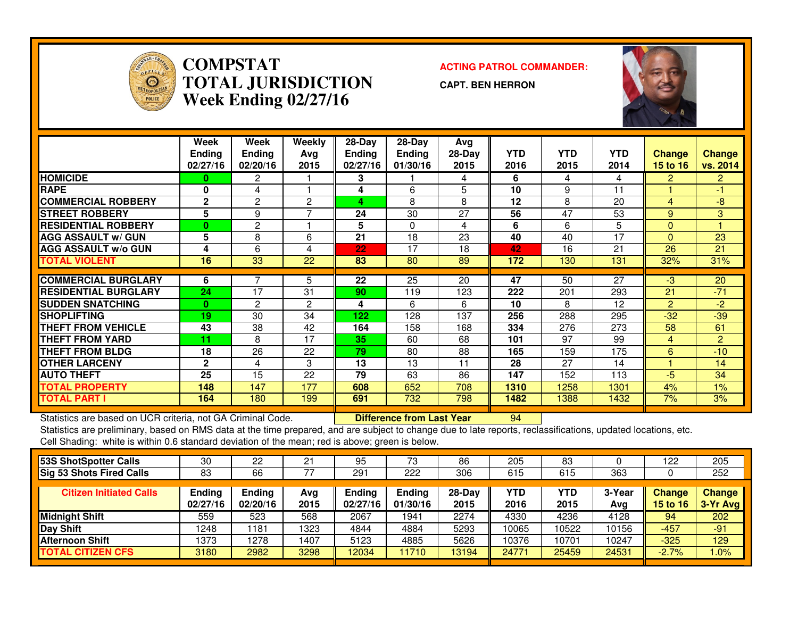

**COMPSTATACTING PATROL COMMANDER:**<br> **ACTING PATROL COMMANDER: TOTAL JURISDICTIONWeek Ending 02/27/16**

**CAPT. BEN HERRON**



|                             | Week<br><b>Ending</b><br>02/27/16 | Week<br><b>Ending</b><br>02/20/16 | Weekly<br>Avg<br>2015 | $28$ -Day<br><b>Ending</b><br>02/27/16 | $28$ -Day<br>Ending<br>01/30/16 | Avg<br>28-Day<br>2015 | <b>YTD</b><br>2016 | <b>YTD</b><br>2015 | <b>YTD</b><br>2014 | Change<br>15 to 16 | <b>Change</b><br>vs. 2014 |
|-----------------------------|-----------------------------------|-----------------------------------|-----------------------|----------------------------------------|---------------------------------|-----------------------|--------------------|--------------------|--------------------|--------------------|---------------------------|
| <b>HOMICIDE</b>             | $\Omega$                          | 2                                 |                       | 3                                      |                                 | 4                     | 6                  | 4                  | 4                  | 2.                 | $\overline{2}$            |
| <b>RAPE</b>                 | $\bf{0}$                          | 4                                 |                       | 4                                      | 6                               | 5                     | 10                 | 9                  | 11                 |                    | -1                        |
| <b>COMMERCIAL ROBBERY</b>   | $\mathbf{2}$                      | $\overline{2}$                    | 2                     | 4                                      | 8                               | 8                     | 12                 | 8                  | 20                 | 4                  | -8                        |
| <b>STREET ROBBERY</b>       | 5                                 | 9                                 |                       | 24                                     | 30                              | 27                    | 56                 | 47                 | 53                 | 9                  | 3                         |
| <b>RESIDENTIAL ROBBERY</b>  | $\mathbf{0}$                      | $\overline{2}$                    |                       | 5                                      | $\Omega$                        | 4                     | 6                  | 6                  | 5                  | $\Omega$           |                           |
| <b>AGG ASSAULT w/ GUN</b>   | 5                                 | 8                                 | 6                     | 21                                     | 18                              | 23                    | 40                 | 40                 | 17                 | $\Omega$           | 23                        |
| <b>AGG ASSAULT w/o GUN</b>  | 4                                 | 6                                 | 4                     | 22                                     | 17                              | 18                    | 42                 | 16                 | 21                 | 26                 | 21                        |
| <b>TOTAL VIOLENT</b>        | 16                                | 33                                | 22                    | 83                                     | 80                              | 89                    | 172                | 130                | 131                | 32%                | 31%                       |
|                             |                                   |                                   |                       |                                        |                                 |                       |                    |                    |                    |                    |                           |
| <b>COMMERCIAL BURGLARY</b>  | 6                                 | 7                                 | 5                     | 22                                     | 25                              | 20                    | 47                 | 50                 | 27                 | $-3$               | 20                        |
| <b>RESIDENTIAL BURGLARY</b> | 24                                | 17                                | 31                    | 90                                     | 119                             | 123                   | 222                | 201                | 293                | 21                 | $-71$                     |
| <b>SUDDEN SNATCHING</b>     | $\bf{0}$                          | $\overline{2}$                    | 2                     | 4                                      | 6                               | 6                     | 10                 | 8                  | 12                 | $\overline{2}$     | $-2$                      |
| <b>SHOPLIFTING</b>          | 19                                | 30                                | 34                    | 122                                    | 128                             | 137                   | 256                | 288                | 295                | $-32$              | $-39$                     |
| THEFT FROM VEHICLE          | 43                                | 38                                | 42                    | 164                                    | 158                             | 168                   | 334                | 276                | 273                | 58                 | 61                        |
| <b>THEFT FROM YARD</b>      | 11                                | 8                                 | 17                    | 35                                     | 60                              | 68                    | 101                | 97                 | 99                 | 4                  | 2                         |
| <b>THEFT FROM BLDG</b>      | 18                                | 26                                | 22                    | 79                                     | 80                              | 88                    | 165                | 159                | 175                | 6                  | $-10$                     |
| <b>OTHER LARCENY</b>        | $\mathbf 2$                       | 4                                 | 3                     | 13                                     | 13                              | 11                    | 28                 | 27                 | 14                 |                    | 14                        |
| <b>AUTO THEFT</b>           | 25                                | 15                                | 22                    | 79                                     | 63                              | 86                    | 147                | 152                | 113                | $-5$               | 34                        |
| <b>TOTAL PROPERTY</b>       | 148                               | 147                               | 177                   | 608                                    | 652                             | 708                   | 1310               | 1258               | 1301               | 4%                 | 1%                        |
| TOTAL PART I                | 164                               | 180                               | 199                   | 691                                    | 732                             | 798                   | 1482               | 1388               | 1432               | 7%                 | 3%                        |

Statistics are based on UCR criteria, not GA Criminal Code. **Difference from Last Year** 

Statistics are based on UCR criteria, not GA Criminal Code. **[19] Difference from Last Year [19] 2006**<br>Statistics are preliminary, based on RMS data at the time prepared, and are subject to change due to late reports, recl Cell Shading: white is within 0.6 standard deviation of the mean; red is above; green is below.

| 53S ShotSpotter Calls          | 30                 | 22                        | 21          | 95                 | 73                        | 86               | 205                | 83          |               | 122                | 205                  |
|--------------------------------|--------------------|---------------------------|-------------|--------------------|---------------------------|------------------|--------------------|-------------|---------------|--------------------|----------------------|
| Sig 53 Shots Fired Calls       | 83                 | 66                        | 77          | 291                | 222                       | 306              | 615                | 615         | 363           |                    | 252                  |
| <b>Citizen Initiated Calls</b> | Ending<br>02/27/16 | <b>Ending</b><br>02/20/16 | Avg<br>2015 | Ending<br>02/27/16 | <b>Ending</b><br>01/30/16 | $28-Day$<br>2015 | <b>YTD</b><br>2016 | YTD<br>2015 | 3-Year<br>Avg | Change<br>15 to 16 | Change<br>$3-Yr$ Avg |
| Midnight Shift                 | 559                | 523                       | 568         | 2067               | 1941                      | 2274             | 4330               | 4236        | 4128          | 94                 | 202                  |
| Day Shift                      | 1248               | 181                       | 1323        | 4844               | 4884                      | 5293             | 10065              | 10522       | 10156         | $-457$             | $-91$                |
| <b>Afternoon Shift</b>         | 1373               | 1278                      | 1407        | 5123               | 4885                      | 5626             | 10376              | 10701       | 10247         | $-325$             | 129                  |
| <b>TOTAL CITIZEN CFS</b>       | 3180               | 2982                      | 3298        | 12034              | 11710                     | 13194            | 24771              | 25459       | 24531         | $-2.7%$            | $.0\%$               |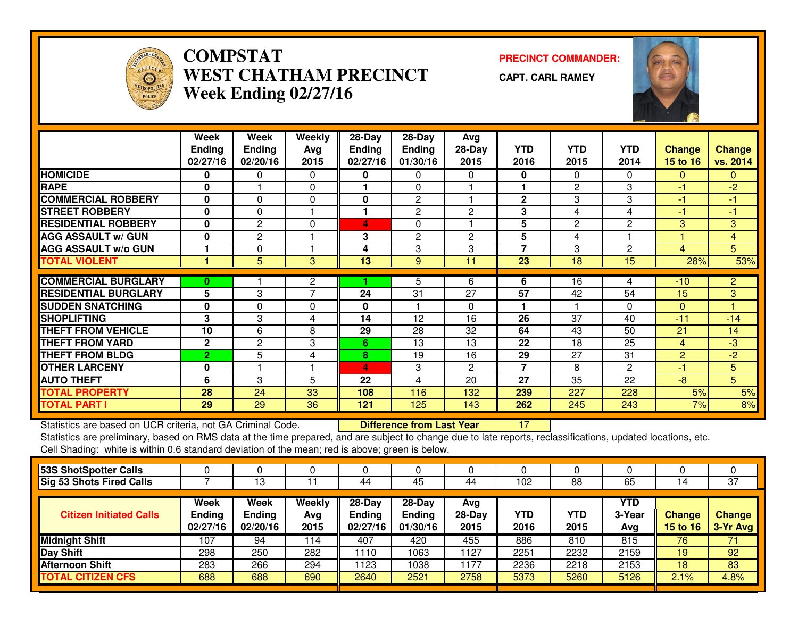

## **COMPSTAT PRECINCT COMMANDER: WEST CHATHAM PRECINCTWeek Ending 02/27/16**

**CAPT. CARL RAMEY**



|                                                             | Week           | Week          | Weekly         | 28-Day        | 28-Day                           | Avg            |                |                |                |                |                 |
|-------------------------------------------------------------|----------------|---------------|----------------|---------------|----------------------------------|----------------|----------------|----------------|----------------|----------------|-----------------|
|                                                             | <b>Ending</b>  | <b>Ending</b> | Avg            | <b>Ending</b> | Ending                           | $28-Day$       | <b>YTD</b>     | <b>YTD</b>     | <b>YTD</b>     | <b>Change</b>  | <b>Change</b>   |
|                                                             | 02/27/16       | 02/20/16      | 2015           | 02/27/16      | 01/30/16                         | 2015           | 2016           | 2015           | 2014           | 15 to 16       | vs. 2014        |
| <b>HOMICIDE</b>                                             | 0              | 0             | 0              | 0             | 0                                | 0              | $\mathbf{0}$   | 0              | $\mathbf{0}$   | $\mathbf{0}$   | $\mathbf{0}$    |
| <b>RAPE</b>                                                 | 0              |               | $\mathbf{0}$   |               | 0                                |                |                | $\mathbf{2}$   | 3              | $-1$           | $-2$            |
| <b>COMMERCIAL ROBBERY</b>                                   | 0              | $\Omega$      | $\Omega$       | 0             | $\mathbf{2}$                     |                | $\mathbf{2}$   | 3              | 3              | $-1$           | $-1$            |
| <b>STREET ROBBERY</b>                                       | $\mathbf{0}$   | 0             |                | 1             | $\mathbf{2}$                     | $\mathbf{2}$   | 3              | 4              | 4              | $-1$           | $-1$            |
| <b>RESIDENTIAL ROBBERY</b>                                  | $\mathbf{0}$   | $\mathbf{2}$  | 0              | 4             | 0                                |                | 5              | $\overline{c}$ | $\overline{c}$ | 3              | 3               |
| <b>AGG ASSAULT w/ GUN</b>                                   | $\bf{0}$       | $\mathbf{2}$  |                | 3             | $\overline{2}$                   | $\overline{2}$ | 5              | 4              |                |                | $\overline{4}$  |
| <b>AGG ASSAULT w/o GUN</b>                                  |                | 0             |                | 4             | 3                                | 3              | $\overline{7}$ | 3              | $\overline{2}$ | $\overline{4}$ | 5               |
| <b>TOTAL VIOLENT</b>                                        | 1              | 5             | 3              | 13            | 9                                | 11             | 23             | 18             | 15             | 28%            | 53%             |
|                                                             |                |               |                |               |                                  |                |                |                |                |                |                 |
| <b>COMMERCIAL BURGLARY</b>                                  | $\bf{0}$       |               | $\mathbf{2}$   |               | 5                                | 6              | 6              | 16             | 4              | $-10$          | $\overline{2}$  |
| <b>RESIDENTIAL BURGLARY</b>                                 | 5              | 3             | $\overline{7}$ | 24            | 31                               | 27             | 57             | 42             | 54             | 15             | 3 <sup>1</sup>  |
| <b>SUDDEN SNATCHING</b>                                     | $\mathbf{0}$   | 0             | $\Omega$       | 0             |                                  | 0              |                |                | $\Omega$       | $\mathbf{0}$   |                 |
| <b>SHOPLIFTING</b>                                          | 3              | 3             | 4              | 14            | 12                               | 16             | 26             | 37             | 40             | $-11$          | $-14$           |
| <b>THEFT FROM VEHICLE</b>                                   | 10             | 6             | 8              | 29            | 28                               | 32             | 64             | 43             | 50             | 21             | 14              |
| <b>THEFT FROM YARD</b>                                      | $\mathbf{2}$   | $\mathbf{2}$  | 3              | 6             | 13                               | 13             | 22             | 18             | 25             | $\overline{4}$ | $-3$            |
| <b>THEFT FROM BLDG</b>                                      | $\overline{2}$ | 5             | 4              | 8             | 19                               | 16             | 29             | 27             | 31             | 2              | $-2$            |
| <b>OTHER LARCENY</b>                                        | $\mathbf{0}$   |               |                | 4             | 3                                | 2              | 7              | 8              | $\mathbf{2}$   | $-1$           | $5\phantom{.0}$ |
| <b>AUTO THEFT</b>                                           | 6              | 3             | 5              | 22            | 4                                | 20             | 27             | 35             | 22             | $-8$           | 5 <sup>5</sup>  |
| <b>TOTAL PROPERTY</b>                                       | 28             | 24            | 33             | 108           | 116                              | 132            | 239            | 227            | 228            | 5%             | 5%              |
| <b>TOTAL PART I</b>                                         | 29             | 29            | 36             | 121           | 125                              | 143            | 262            | 245            | 243            | 7%             | 8%              |
| Statistics are based on UCR criteria, not GA Criminal Code. |                |               |                |               | <b>Difference from Last Year</b> |                | 17             |                |                |                |                 |

Statistics are based on UCR criteria, not GA Criminal Code. **Difference from Last Year** 

 Statistics are preliminary, based on RMS data at the time prepared, and are subject to change due to late reports, reclassifications, updated locations, etc.Cell Shading: white is within 0.6 standard deviation of the mean; red is above; green is below.

|                                   | 13                                |                       | 44                                    | 45                                  | 44                      | 102                | 88                 | 65                          |                    | $\overline{37}$           |
|-----------------------------------|-----------------------------------|-----------------------|---------------------------------------|-------------------------------------|-------------------------|--------------------|--------------------|-----------------------------|--------------------|---------------------------|
| Week<br><b>Ending</b><br>02/27/16 | Week<br><b>Ending</b><br>02/20/16 | Weekly<br>Avg<br>2015 | $28-Day$<br><b>Ending</b><br>02/27/16 | 28-Day<br><b>Ending</b><br>01/30/16 | Avg<br>$28-Day$<br>2015 | <b>YTD</b><br>2016 | <b>YTD</b><br>2015 | <b>YTD</b><br>3-Year<br>Avg | Change<br>15 to 16 | <b>Change</b><br>3-Yr Avg |
| 107                               | 94                                | 114                   | 407                                   | 420                                 | 455                     | 886                | 810                | 815                         | 76                 | 71                        |
| 298                               | 250                               | 282                   | 1110                                  | 1063                                | 1127                    | 2251               | 2232               | 2159                        | 19                 | 92                        |
| 283                               | 266                               | 294                   | 1123                                  | 1038                                | 1177                    | 2236               | 2218               | 2153                        | 18                 | 83                        |
| 688                               | 688                               | 690                   | 2640                                  | 2521                                | 2758                    | 5373               | 5260               | 5126                        | 2.1%               | 4.8%                      |
|                                   |                                   |                       |                                       |                                     |                         |                    |                    |                             |                    |                           |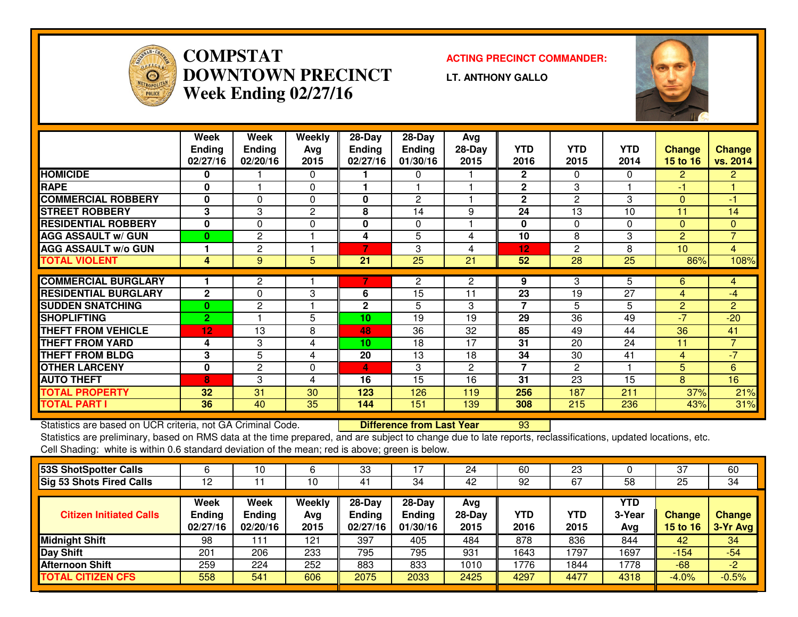

**COMPSTAT ACTING PRECINCT COMMANDER: DOWNTOWN PRECINCTWeek Ending 02/27/16**

**LT. ANTHONY GALLO**



|                                                             | Week<br><b>Ending</b><br>02/27/16 | Week<br><b>Ending</b><br>02/20/16 | Weekly<br>Avg<br>2015 | 28-Day<br><b>Ending</b><br>02/27/16 | $28-Day$<br><b>Ending</b><br>01/30/16 | Avg<br>28-Day<br>2015 | <b>YTD</b><br>2016 | <b>YTD</b><br>2015 | <b>YTD</b><br>2014 | <b>Change</b><br>15 to 16 | <b>Change</b><br>vs. 2014 |
|-------------------------------------------------------------|-----------------------------------|-----------------------------------|-----------------------|-------------------------------------|---------------------------------------|-----------------------|--------------------|--------------------|--------------------|---------------------------|---------------------------|
| <b>HOMICIDE</b>                                             | 0                                 |                                   | $\mathbf{0}$          |                                     | 0                                     |                       | $\mathbf{2}$       | 0                  | 0                  | $\overline{2}$            | $\overline{2}$            |
| <b>RAPE</b>                                                 | $\bf{0}$                          |                                   | $\Omega$              |                                     |                                       |                       | $\mathbf{2}$       | 3                  |                    | -1                        |                           |
| <b>COMMERCIAL ROBBERY</b>                                   | $\bf{0}$                          | $\Omega$                          | $\Omega$              | 0                                   | $\overline{2}$                        |                       | $\mathbf{2}$       | $\overline{c}$     | 3                  | $\Omega$                  | $-1$                      |
| <b>STREET ROBBERY</b>                                       | 3                                 | 3                                 | $\mathbf{2}$          | 8                                   | 14                                    | 9                     | 24                 | 13                 | 10                 | 11                        | 14                        |
| <b>RESIDENTIAL ROBBERY</b>                                  | $\mathbf{0}$                      | $\mathbf{0}$                      | 0                     | 0                                   | 0                                     |                       | 0                  | 0                  | $\Omega$           | $\mathbf{0}$              | $\mathbf{0}$              |
| <b>AGG ASSAULT w/ GUN</b>                                   | $\bf{0}$                          | $\mathbf{2}$                      |                       | 4                                   | 5                                     | 4                     | 10                 | 8                  | 3                  | $\overline{2}$            | $\overline{7}$            |
| <b>AGG ASSAULT w/o GUN</b>                                  |                                   | $\overline{2}$                    |                       | 7                                   | 3                                     | 4                     | 12                 | 2                  | 8                  | 10                        | $\overline{4}$            |
| <b>TOTAL VIOLENT</b>                                        | 4                                 | 9                                 | 5                     | 21                                  | 25                                    | 21                    | 52                 | 28                 | 25                 | 86%                       | 108%                      |
|                                                             |                                   |                                   |                       |                                     |                                       |                       |                    |                    |                    |                           |                           |
| <b>COMMERCIAL BURGLARY</b>                                  |                                   | $\overline{2}$                    |                       | 7                                   | $\overline{2}$                        | $\mathbf{2}$          | 9                  | 3                  | 5                  | 6                         | 4                         |
| <b>RESIDENTIAL BURGLARY</b>                                 | $\mathbf{2}$                      | 0                                 | 3                     | 6                                   | 15                                    | 11                    | 23                 | 19                 | 27                 | 4                         | -4                        |
| <b>SUDDEN SNATCHING</b>                                     | $\bf{0}$                          | $\overline{2}$                    |                       | $\mathbf{2}$                        | 5                                     | 3                     | 7                  | 5                  | 5                  | $\overline{2}$            | $\overline{2}$            |
| <b>SHOPLIFTING</b>                                          | $\overline{2}$                    |                                   | 5                     | 10                                  | 19                                    | 19                    | 29                 | 36                 | 49                 | $-7$                      | $-20$                     |
| <b>THEFT FROM VEHICLE</b>                                   | 12                                | 13                                | 8                     | 48                                  | 36                                    | 32                    | 85                 | 49                 | 44                 | 36                        | 41                        |
| <b>THEFT FROM YARD</b>                                      | 4                                 | 3                                 | 4                     | 10                                  | 18                                    | 17                    | 31                 | 20                 | 24                 | 11                        | $\overline{7}$            |
| <b>THEFT FROM BLDG</b>                                      | 3                                 | 5                                 | 4                     | 20                                  | 13                                    | 18                    | 34                 | 30                 | 41                 | 4                         | $-7$                      |
| <b>OTHER LARCENY</b>                                        | 0                                 | $\mathbf{2}$                      | $\Omega$              | 4                                   | 3                                     | $\overline{2}$        | 7                  | 2                  |                    | 5                         | 6                         |
| <b>AUTO THEFT</b>                                           | 8                                 | 3                                 | 4                     | 16                                  | 15                                    | 16                    | 31                 | 23                 | 15                 | 8                         | 16                        |
| <b>TOTAL PROPERTY</b>                                       | 32                                | 31                                | 30                    | 123                                 | 126                                   | 119                   | 256                | 187                | 211                | 37%                       | 21%                       |
| <b>TOTAL PART I</b>                                         | 36                                | 40                                | 35                    | 144                                 | 151                                   | 139                   | 308                | 215                | 236                | 43%                       | 31%                       |
| Statistics are based on UCR criteria, not GA Criminal Code. |                                   |                                   |                       |                                     | <b>Difference from Last Year</b>      |                       | 93                 |                    |                    |                           |                           |

Statistics are based on UCR criteria, not GA Criminal Code. **Durich Luppe Interence from Last Year** [15] [16] Ma<br>Statistics are preliminary, based on RMS data at the time prepared, and are subject to change due to late rep Cell Shading: white is within 0.6 standard deviation of the mean; red is above; green is below.

| 53S ShotSpotter Calls           |                                   | ۱0                                |                       | 33                                  |                                       | 24                      | 60                 | 23          |                             | 37                               | 60                        |
|---------------------------------|-----------------------------------|-----------------------------------|-----------------------|-------------------------------------|---------------------------------------|-------------------------|--------------------|-------------|-----------------------------|----------------------------------|---------------------------|
| <b>Sig 53 Shots Fired Calls</b> | 12                                |                                   | 10                    | 41                                  | 34                                    | 42                      | 92                 | 67          | 58                          | 25                               | 34                        |
| <b>Citizen Initiated Calls</b>  | Week<br><b>Ending</b><br>02/27/16 | Week<br><b>Ending</b><br>02/20/16 | Weekly<br>Avg<br>2015 | 28-Day<br><b>Ending</b><br>02/27/16 | $28-Dav$<br><b>Ending</b><br>01/30/16 | Avg<br>$28-Day$<br>2015 | <b>YTD</b><br>2016 | YTD<br>2015 | <b>YTD</b><br>3-Year<br>Avg | <b>Change</b><br><b>15 to 16</b> | <b>Change</b><br>3-Yr Avg |
| <b>Midnight Shift</b>           | 98                                | 111                               | 121                   | 397                                 | 405                                   | 484                     | 878                | 836         | 844                         | 42                               | 34                        |
| Day Shift                       | 201                               | 206                               | 233                   | 795                                 | 795                                   | 931                     | 1643               | 1797        | 1697                        | $-154$                           | $-54$                     |
| <b>Afternoon Shift</b>          | 259                               | 224                               | 252                   | 883                                 | 833                                   | 1010                    | 1776               | 1844        | 1778                        | $-68$                            | $-2$                      |
| <b>TOTAL CITIZEN CFS</b>        | 558                               | 541                               | 606                   | 2075                                | 2033                                  | 2425                    | 4297               | 4477        | 4318                        | $-4.0%$                          | $-0.5%$                   |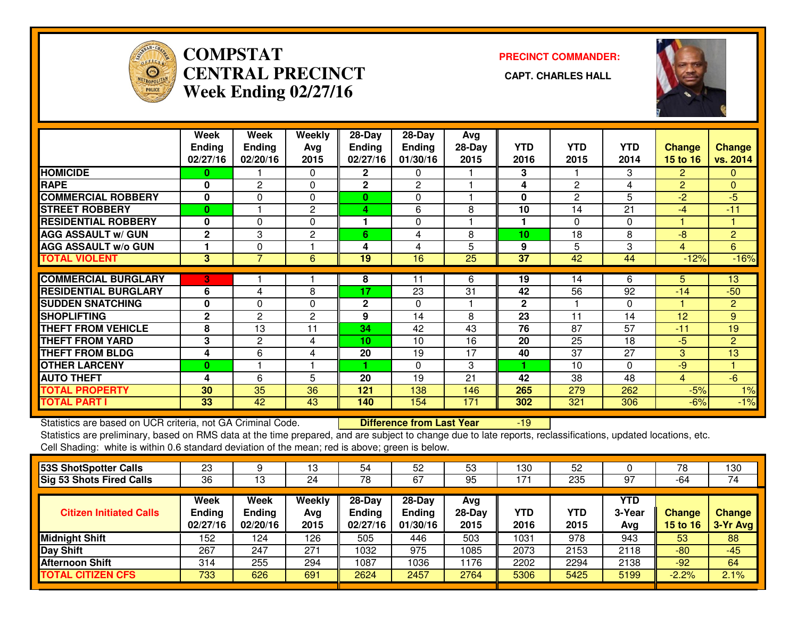

## **COMPSTAT PRECINCT COMMANDER: CENTRAL PRECINCT CAPT. CHARLES HALLWeek Ending 02/27/16**



|                             | Week<br><b>Ending</b><br>02/27/16 | Week<br><b>Ending</b><br>02/20/16 | Weekly<br>Avg<br>2015 | 28-Day<br><b>Ending</b><br>02/27/16 | $28$ -Day<br>Ending<br>01/30/16 | Avg<br>$28-Day$<br>2015 | <b>YTD</b><br>2016 | <b>YTD</b><br>2015 | <b>YTD</b><br>2014 | <b>Change</b><br>15 to 16 | <b>Change</b><br>vs. 2014 |
|-----------------------------|-----------------------------------|-----------------------------------|-----------------------|-------------------------------------|---------------------------------|-------------------------|--------------------|--------------------|--------------------|---------------------------|---------------------------|
| <b>HOMICIDE</b>             | 0                                 |                                   | $\Omega$              | 2                                   | 0                               |                         | 3                  |                    | 3                  | $\overline{2}$            | $\Omega$                  |
| <b>RAPE</b>                 | $\bf{0}$                          | $\overline{2}$                    | $\Omega$              | $\mathbf{2}$                        | $\overline{2}$                  |                         | 4                  | $\mathbf{2}$       | 4                  | $\overline{2}$            | $\mathbf{0}$              |
| <b>COMMERCIAL ROBBERY</b>   | 0                                 | $\Omega$                          | $\Omega$              | $\mathbf{0}$                        | 0                               |                         | $\bf{0}$           | $\overline{2}$     | 5                  | $-2$                      | -5                        |
| <b>STREET ROBBERY</b>       | $\bf{0}$                          |                                   | $\mathbf{2}$          | 4                                   | 6                               | 8                       | 10                 | 14                 | 21                 | $-4$                      | $-11$                     |
| <b>RESIDENTIAL ROBBERY</b>  | $\bf{0}$                          | $\Omega$                          | 0                     |                                     | 0                               |                         |                    | 0                  | $\Omega$           |                           |                           |
| <b>AGG ASSAULT w/ GUN</b>   | $\mathbf{2}$                      | 3                                 | 2                     | 6                                   | 4                               | 8                       | 10                 | 18                 | 8                  | -8                        | $\overline{2}$            |
| <b>AGG ASSAULT w/o GUN</b>  |                                   | 0                                 |                       | 4                                   | 4                               | 5                       | 9                  | 5                  | 3                  | 4                         | 6                         |
| <b>TOTAL VIOLENT</b>        | 3                                 | $\overline{7}$                    | 6                     | 19                                  | 16                              | 25                      | 37                 | 42                 | 44                 | $-12%$                    | $-16%$                    |
|                             |                                   |                                   |                       |                                     |                                 |                         |                    |                    |                    |                           |                           |
| <b>COMMERCIAL BURGLARY</b>  | 3                                 |                                   |                       | 8                                   | 11                              | 6                       | 19                 | 14                 | 6                  | 5.                        | 13                        |
| <b>RESIDENTIAL BURGLARY</b> | 6                                 | 4                                 | 8                     | 17                                  | 23                              | 31                      | 42                 | 56                 | 92                 | $-14$                     | $-50$                     |
| <b>ISUDDEN SNATCHING</b>    | 0                                 | $\Omega$                          | $\Omega$              | $\mathbf{2}$                        | $\Omega$                        |                         | $\mathbf{2}$       |                    | $\Omega$           |                           | $\overline{2}$            |
| <b>SHOPLIFTING</b>          | $\mathbf{2}$                      | 2                                 | $\overline{c}$        | 9                                   | 14                              | 8                       | 23                 | 11                 | 14                 | 12                        | 9                         |
| <b>THEFT FROM VEHICLE</b>   | 8                                 | 13                                | 11                    | 34                                  | 42                              | 43                      | 76                 | 87                 | 57                 | $-11$                     | 19                        |
| <b>THEFT FROM YARD</b>      | 3                                 | $\overline{c}$                    | 4                     | 10                                  | 10                              | 16                      | 20                 | 25                 | 18                 | $-5$                      | 2                         |
| <b>THEFT FROM BLDG</b>      | 4                                 | 6                                 | 4                     | 20                                  | 19                              | 17                      | 40                 | 37                 | $\overline{27}$    | 3                         | 13                        |
| <b>OTHER LARCENY</b>        | 0                                 |                                   |                       |                                     | 0                               | 3                       |                    | 10                 | $\Omega$           | -9                        |                           |
| <b>AUTO THEFT</b>           | 4                                 | 6                                 | 5                     | 20                                  | 19                              | 21                      | 42                 | 38                 | 48                 | 4                         | $-6$                      |
| <b>TOTAL PROPERTY</b>       | 30                                | 35                                | 36                    | 121                                 | 138                             | 146                     | 265                | 279                | 262                | $-5%$                     | 1%                        |
| <b>TOTAL PART I</b>         | 33                                | 42                                | 43                    | 140                                 | 154                             | 171                     | 302                | 321                | 306                | $-6%$                     | $-1%$                     |

Statistics are based on UCR criteria, not GA Criminal Code. **Difference from Last Year** 

-19

 Statistics are preliminary, based on RMS data at the time prepared, and are subject to change due to late reports, reclassifications, updated locations, etc.Cell Shading: white is within 0.6 standard deviation of the mean; red is above; green is below.

| 53S ShotSpotter Calls           | 23                                |                                   | 13                    | 54                                  | 52                                    | 53                      | 130                | 52          |                             | 78                        | 130                       |
|---------------------------------|-----------------------------------|-----------------------------------|-----------------------|-------------------------------------|---------------------------------------|-------------------------|--------------------|-------------|-----------------------------|---------------------------|---------------------------|
| <b>Sig 53 Shots Fired Calls</b> | 36                                | 13                                | 24                    | 78                                  | 67                                    | 95                      | 171                | 235         | 97                          | -64                       | 74                        |
| <b>Citizen Initiated Calls</b>  | Week<br><b>Ending</b><br>02/27/16 | Week<br><b>Ending</b><br>02/20/16 | Weekly<br>Avg<br>2015 | 28-Day<br><b>Ending</b><br>02/27/16 | $28-Dav$<br><b>Ending</b><br>01/30/16 | Avg<br>$28-Day$<br>2015 | <b>YTD</b><br>2016 | YTD<br>2015 | <b>YTD</b><br>3-Year<br>Avg | Change<br><b>15 to 16</b> | <b>Change</b><br>3-Yr Avg |
| <b>Midnight Shift</b>           | 152                               | 124                               | 126                   | 505                                 | 446                                   | 503                     | 1031               | 978         | 943                         | 53                        | 88                        |
| Day Shift                       | 267                               | 247                               | 271                   | 1032                                | 975                                   | 1085                    | 2073               | 2153        | 2118                        | $-80$                     | $-45$                     |
| <b>Afternoon Shift</b>          | 314                               | 255                               | 294                   | 1087                                | 036                                   | 1176                    | 2202               | 2294        | 2138                        | $-92$                     | 64                        |
| <b>TOTAL CITIZEN CFS</b>        | 733                               | 626                               | 691                   | 2624                                | 2457                                  | 2764                    | 5306               | 5425        | 5199                        | $-2.2%$                   | 2.1%                      |
|                                 |                                   |                                   |                       |                                     |                                       |                         |                    |             |                             |                           |                           |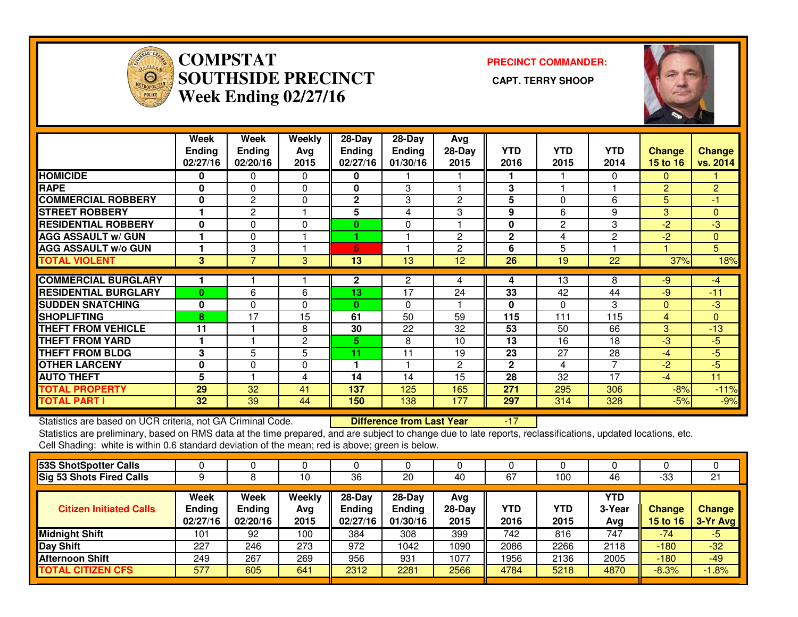

### **COMPSTAT PRECINCT COMMANDER: SOUTHSIDE PRECINCT CAPT. TERRY SHOOPWeek Ending 02/27/16**



|                             | Week<br><b>Ending</b><br>02/27/16 | Week<br><b>Ending</b><br>02/20/16 | Weekly<br>Avg<br>2015 | $28-Day$<br><b>Ending</b><br>02/27/16 | $28-Day$<br><b>Ending</b><br>01/30/16 | Avg<br>$28-Day$<br>2015 | <b>YTD</b><br>2016 | <b>YTD</b><br>2015 | <b>YTD</b><br>2014 | <b>Change</b><br>15 to 16 | <b>Change</b><br>vs. 2014 |
|-----------------------------|-----------------------------------|-----------------------------------|-----------------------|---------------------------------------|---------------------------------------|-------------------------|--------------------|--------------------|--------------------|---------------------------|---------------------------|
| <b>HOMICIDE</b>             | 0                                 | 0                                 | 0                     | 0                                     |                                       |                         |                    |                    | $\Omega$           | $\Omega$                  |                           |
| <b>RAPE</b>                 | $\bf{0}$                          | $\Omega$                          | $\Omega$              | 0                                     | 3                                     |                         | 3                  |                    |                    | $\overline{2}$            | 2                         |
| <b>COMMERCIAL ROBBERY</b>   | 0                                 | $\overline{c}$                    | $\Omega$              | $\mathbf 2$                           | 3                                     | 2                       | 5                  | 0                  | 6                  | 5                         | -1                        |
| <b>STREET ROBBERY</b>       |                                   | $\overline{c}$                    |                       | 5                                     | 4                                     | 3                       | 9                  | 6                  | 9                  | 3                         | $\mathbf{0}$              |
| <b>RESIDENTIAL ROBBERY</b>  | $\mathbf 0$                       | $\Omega$                          | $\Omega$              | 0                                     | $\mathbf 0$                           |                         | $\mathbf 0$        | 2                  | 3                  | $-2$                      | $-3$                      |
| <b>AGG ASSAULT w/ GUN</b>   |                                   | 0                                 |                       |                                       |                                       | 2                       | $\mathbf{2}$       | 4                  | $\overline{2}$     | $-2$                      | $\mathbf{0}$              |
| <b>AGG ASSAULT w/o GUN</b>  |                                   | 3                                 |                       | 5                                     |                                       | $\overline{2}$          | 6                  | 5                  |                    |                           | 5 <sup>1</sup>            |
| <b>TOTAL VIOLENT</b>        | 3                                 | 7                                 | 3                     | 13                                    | 13                                    | 12                      | 26                 | 19                 | 22                 | 37%                       | 18%                       |
| <b>COMMERCIAL BURGLARY</b>  |                                   |                                   |                       | 2                                     | 2                                     | 4                       | 4                  | 13                 | 8                  | -9                        | $-4$                      |
| <b>RESIDENTIAL BURGLARY</b> | $\bf{0}$                          | 6                                 | 6                     | 13                                    | 17                                    | 24                      | 33                 | 42                 | 44                 | -9                        | $-11$                     |
| <b>SUDDEN SNATCHING</b>     | $\bf{0}$                          | 0                                 | $\Omega$              | $\bf{0}$                              | 0                                     |                         | $\mathbf 0$        | 0                  | 3                  | $\mathbf{0}$              | $-3$                      |
| <b>SHOPLIFTING</b>          | 8                                 | 17                                | 15                    | 61                                    | 50                                    | 59                      | 115                | 111                | 115                | 4                         | $\Omega$                  |
| <b>THEFT FROM VEHICLE</b>   | 11                                |                                   |                       |                                       |                                       |                         | 53                 | 50                 | 66                 | 3                         |                           |
|                             |                                   |                                   | 8                     | 30                                    | 22                                    | 32                      |                    |                    |                    |                           | $-13$                     |
| <b>THEFT FROM YARD</b>      |                                   |                                   | $\overline{c}$        | 5.                                    | 8                                     | 10                      | 13                 | 16                 | 18                 | $-3$                      | $-5$                      |
| <b>THEFT FROM BLDG</b>      | 3                                 | 5                                 | 5                     | 11                                    | 11                                    | 19                      | 23                 | 27                 | 28                 | $-4$                      | $-5$                      |
| <b>OTHER LARCENY</b>        | $\mathbf 0$                       | 0                                 | 0                     | 1                                     |                                       | 2                       | $\mathbf{2}$       | 4                  | $\overline{7}$     | $-2$                      | $-5$                      |
| <b>AUTO THEFT</b>           | 5                                 |                                   | 4                     | 14                                    | 14                                    | 15                      | 28                 | 32                 | 17                 | $-4$                      | 11                        |
| <b>TOTAL PROPERTY</b>       | 29                                | 32                                | 41                    | 137                                   | 125                                   | 165                     | 271                | 295                | 306                | $-8%$                     | $-11%$                    |
| <b>TOTAL PART I</b>         | 32                                | 39                                | 44                    | 150                                   | 138                                   | 177                     | 297                | 314                | 328                | $-5%$                     | $-9%$                     |

Statistics are based on UCR criteria, not GA Criminal Code. **Difference from Last Year** 

Statistics are based on UCR criteria, not GA Criminal Code. **Difference from Last Year Namic 17 Statistics** are based on UCR criteria, not GA Criminal Code. **Difference from Last Year Namic 17 Stati**stications, updated loc Cell Shading: white is within 0.6 standard deviation of the mean; red is above; green is below.

| 53S ShotSpotter Calls           |                                          |                                   |                       |                                     |                                       |                         |             |                    |                             |                    |                    |
|---------------------------------|------------------------------------------|-----------------------------------|-----------------------|-------------------------------------|---------------------------------------|-------------------------|-------------|--------------------|-----------------------------|--------------------|--------------------|
| <b>Sig 53 Shots Fired Calls</b> |                                          |                                   | 10                    | 36                                  | 20                                    | 40                      | 67          | 100                | 46                          | $-33$              | 21                 |
| <b>Citizen Initiated Calls</b>  | <b>Week</b><br><b>Ending</b><br>02/27/16 | Week<br><b>Ending</b><br>02/20/16 | Weekly<br>Avg<br>2015 | 28-Day<br><b>Ending</b><br>02/27/16 | $28-Day$<br><b>Ending</b><br>01/30/16 | Avg<br>$28-Day$<br>2015 | YTD<br>2016 | <b>YTD</b><br>2015 | <b>YTD</b><br>3-Year<br>Avg | Change<br>15 to 16 | Change<br>3-Yr Avg |
| <b>Midnight Shift</b>           | 101                                      | 92                                | 100                   | 384                                 | 308                                   | 399                     | 742         | 816                | 747                         | $-74$              | $-5$               |
| <b>Day Shift</b>                | 227                                      | 246                               | 273                   | 972                                 | 1042                                  | 1090                    | 2086        | 2266               | 2118                        | $-180$             | $-32$              |
| Afternoon Shift                 | 249                                      | 267                               | 269                   | 956                                 | 931                                   | 1077                    | 1956        | 2136               | 2005                        | $-180$             | $-49$              |
| <b>TOTAL CITIZEN CFS</b>        | 577                                      | 605                               | 641                   | 2312                                | 2281                                  | 2566                    | 4784        | 5218               | 4870                        | $-8.3%$            | $-1.8%$            |
|                                 |                                          |                                   |                       |                                     |                                       |                         |             |                    |                             |                    |                    |